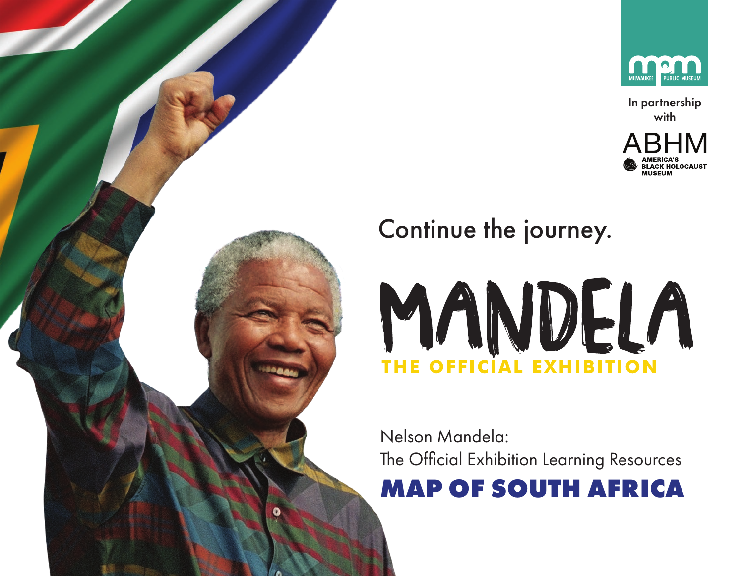

In partnership with







Nelson Mandela: The Official Exhibition Learning Resources **MAP OF SOUTH AFRICA**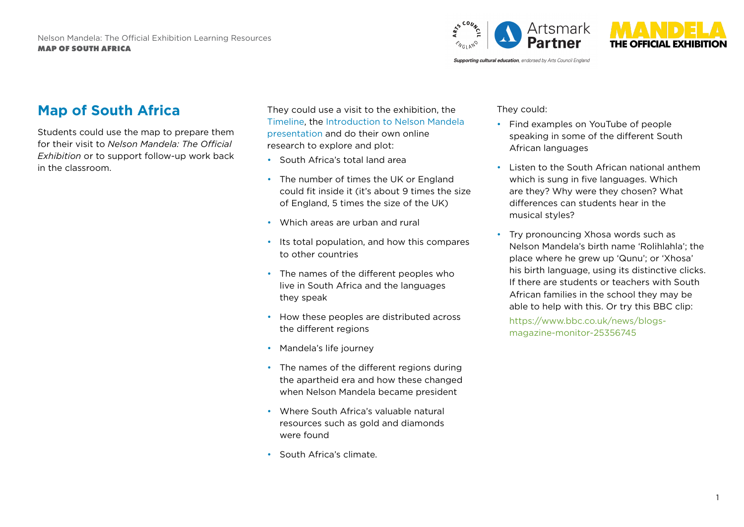

**Supporting cultural education**, endorsed by Arts Council England

## **Map of South Africa**

Students could use the map to prepare them for their visit to *Nelson Mandela: The Official Exhibition* or to support follow-up work back in the classroom.

They could use a visit to the exhibition, the [Timeline](https://mandelaexhibition.com/wp-content/uploads/2019/02/Mandela_EDU_Time_line_FINAL.pdf), the [Introduction to Nelson Mandela](https://mandelaexhibition.com/wp-content/uploads/2019/02/Mandela_EDU_Introducing-Mandela_power_point_FINAL.pdf) [presentation](https://mandelaexhibition.com/wp-content/uploads/2019/02/Mandela_EDU_Introducing-Mandela_power_point_FINAL.pdf) and do their own online research to explore and plot:

- South Africa's total land area
- The number of times the UK or England could fit inside it (it's about 9 times the size of England, 5 times the size of the UK)
- Which areas are urban and rural
- Its total population, and how this compares to other countries
- The names of the different peoples who live in South Africa and the languages they speak
- How these peoples are distributed across the different regions
- Mandela's life journey
- The names of the different regions during the apartheid era and how these changed when Nelson Mandela became president
- Where South Africa's valuable natural resources such as gold and diamonds were found
- South Africa's climate.

They could:

- Find examples on YouTube of people speaking in some of the different South African languages
- Listen to the South African national anthem which is sung in five languages. Which are they? Why were they chosen? What differences can students hear in the musical styles?
- Try pronouncing Xhosa words such as Nelson Mandela's birth name 'Rolihlahla'; the place where he grew up 'Qunu'; or 'Xhosa' his birth language, using its distinctive clicks. If there are students or teachers with South African families in the school they may be able to help with this. Or try this BBC clip:

https://www.bbc.co.uk/news/blogsmagazine-monitor-25356745